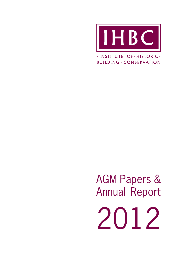

 $\cdot$ INSTITUTE  $\cdot$  OF  $\cdot$  HISTORIC  $\cdot$ **BUILDING · CONSERVATION** 

AGM Papers & Annual Report 2012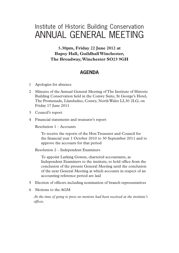# Institute of Historic Building Conservation ANNUAL GENERAL MEETING

# **5.30pm, Friday 22 June 2012 at Bapsy Hall, Guildhall Winchester, The Broadway, Winchester SO23 9GH**

# **AGENDA**

- 1 Apologies for absence
- 2 Minutes of the Annual General Meeting of The Institute of Historic Building Conservation held in the Conwy Suite, St George's Hotel, The Promenade, Llandudno, Conwy, North Wales LL30 2LG, on Friday 17 June 2011
- 3 Council's report
- 4 Financial statements and treasurer's report

Resolution 1 – Accounts

To receive the reports of the Hon Treasurer and Council for the financial year 1 October 2010 to 30 September 2011 and to approve the accounts for that period

Resolution 2 – Independent Examiners

To appoint Larking Gowen, chartered accountants, as Independent Examiners to the institute, to hold office from the conclusion of the present General Meeting until the conclusion of the next General Meeting at which accounts in respect of an accounting reference period are laid

- 5 Election of officers including nomination of branch representatives
- 6 Motions to the AGM

*At the time of going to press no motions had been received at the institute's*   $offices.$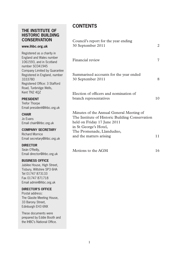# **THE INSTITUTE OF HISTORIC BUILDING CONSERVATION**

### **www.ihbc.org.uk**

Registered as a charity in England and Wales number 1061593, and in Scotland number SC041945 Company Limited by Guarantee Registered in England, number 3333780 Registered Office: 3 Stafford Road, Tunbridge Wells, Kent TN2 4QZ

### **PRESIDENT**

Trefor Thorpe Email president@ihbc.org.uk

#### **CHAIR**

Jo Evans Email chair@ihbc.org.uk

### **COMPANY SECRETARY**

Richard Morrice Email secretary@ihbc.org.uk

### **DIRECTOR**

Seán O'Reilly, Email director@ihbc.org.uk

### **BUSINESS OFFICE**

Jubilee House, High Street, Tisbury, Wiltshire SP3 6HA Tel 01747 873133 Fax 01747 871718 Email admin@ihbc.org.uk

### **DIRECTOR'S OFFICE**

Postal address: The Glasite Meeting House, 33 Barony Street, Edinburgh EH3 6NX

These documents were prepared by Eddie Booth and the IHBC's National Office.

# **CONTENTS**

| Council's report for the year ending<br>30 September 2011                                                                                                                                                   | 2  |
|-------------------------------------------------------------------------------------------------------------------------------------------------------------------------------------------------------------|----|
| Financial review                                                                                                                                                                                            | 7  |
| Summarised accounts for the year ended<br>30 September 2011                                                                                                                                                 | 8  |
| Election of officers and nomination of<br>branch representatives                                                                                                                                            | 10 |
| Minutes of the Annual General Meeting of<br>The Institute of Historic Building Conservation<br>held on Friday 17 June 2011<br>in St George's Hotel,<br>The Promenade, Llandudno,<br>and the matters arising | 11 |
| Motions to the AGM                                                                                                                                                                                          | 16 |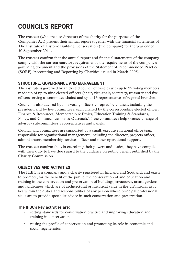# **COUNCIL'S REPORT**

The trustees (who are also directors of the charity for the purposes of the Companies Act) present their annual report together with the financial statements of The Institute of Historic Building Conservation (the company) for the year ended 30 September 2011.

The trustees confirm that the annual report and financial statements of the company comply with the current statutory requirements, the requirements of the company's governing document and the provisions of the Statement of Recommended Practice (SORP) 'Accounting and Reporting by Charities' issued in March 2005.

# **STRUCTURE, GOVERNANCE AND MANAGEMENT**

The institute is governed by an elected council of trustees with up to 22 voting members made up of up to nine elected officers (chair, vice-chair, secretary, treasurer and five officers serving as committee chairs) and up to 13 representatives of regional branches.

Council is also advised by non-voting officers co-opted by council, including the president, and by five committees, each chaired by the corresponding elected officer: Finance & Resources, Membership & Ethics, Education Training & Standards, Policy, and Communications & Outreach. These committees help oversee a range of advisory subcommittees, representatives and panels.

Council and committees are supported by a small, executive national office team responsible for organisational management, including the director, projects officer, administrator, membership services officer and other operational support.

The trustees confirm that, in exercising their powers and duties, they have complied with their duty to have due regard to the guidance on public benefit published by the Charity Commission.

# **OBJECTIVES AND ACTIVITIES**

The IHBC is a company and a charity registered in England and Scotland, and exists to promote, for the benefit of the public, the conservation of and education and training in the conservation and preservation of buildings, structures, areas, gardens and landscapes which are of architectural or historical value in the UK insofar as it lies within the duties and responsibilities of any person whose principal professional skills are to provide specialist advice in such conservation and preservation.

## **The IHBC's key activities are:**

- setting standards for conservation practice and improving education and training in conservation
- raising the profile of conservation and promoting its role in economic and social regeneration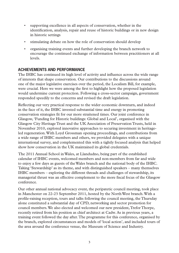- supporting excellence in all aspects of conservation, whether in the identification, analysis, repair and reuse of historic buildings or in new design in historic settings
- stimulating debate on how the role of conservation should develop
- organising training events and further developing the branch network to encourage the continued exchange of information between practitioners at all levels.

### **ACHIEVEMENTS AND PERFORMANCE**

The IHBC has continued its high level of activity and influence across the wide range of interests that shape conservation. Our contributions to the discussions around one of the major legislative exercises over the period, the Localism Bill, for example, were crucial. Here we were among the first to highlight how the proposed legislation would undermine current protection. Following a cross-sector campaign, government responded speedily to the concerns and revised the draft legislation.

Reflecting our very practical response to the wider economic downturn, and indeed in the face of it, the IHBC invested substantial time and energy in promoting conservation strategies fit for our more straitened times. Our joint conference in Glasgow, 'Funding for Historic buildings: Global and Local', organised with the Glasgow City Heritage Trust and the UK Association of Preservation Trusts, held in November 2010, explored innovative approaches to securing investment in heritageled regeneration. With Loyd Grossman opening proceedings, and contributions from a wide range of IHBC members and others, we provided delegates with a unique international survey, and complemented this with a tightly focused analysis that helped show how conservation in the UK maintained its global credentials.

The 2011 Annual School in Wales, at Llandudno, being part of the established calendar of IHBC events, welcomed members and non-members from far and wide to enjoy a few days as guests of the Wales branch and the national body of the IHBC. Taking 'Stewardship' as its theme, and with distinguished speakers – many themselves IHBC members – exploring the different threads and challenges of stewardship, its managerial thrust was an effective complement to the more fiscal focus of the Glasgow conference.

Our other annual national advocacy event, the peripatetic council meeting, took place in Manchester on 22-23 September 2011, hosted by the North West branch. With a pro!le-raising reception, tours and talks following the council meeting, the Thursday alone constituted a substantial day of CPD, networking and sector promotion for council members. We also elected and welcomed our new president, Trefor Thorpe, recently retired from his position as chief architect at Cadw. As in previous years, a training event followed the day after. The programme for this conference, organised by the branch, explored circumstances and models of 'local action', and included tours of the area around the conference venue, the Museum of Science and Industry.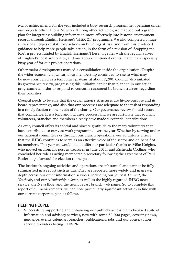Major achievements for the year included a busy research programme, operating under our projects officer Fiona Newton. Among other activities, we mapped out a grand plan for integrating building information more effectively into historic environment records through English Heritage's 'HER 21' programme. We also completed a huge survey of all types of statutory actions on buildings at risk, and from this produced guidance to help more people take action, in the form of a revision of 'Stopping the Rot', a project funded by English Heritage. These, together with the regular survey of England's local authorities, and our above-mentioned events, made it an especially busy year of for our project operations.

Other major developments marked a consolidation inside the organisation. Despite the wider economic downturn, our membership continued to rise to what may be now considered as a temporary plateau, at about 2,200. Council also initiated its governance review, progressing this initiative earlier than planned in our action programme in order to respond to concerns registered by branch trustees regarding their priorities.

Council needs to be sure that the organisation's structures are fit-for-purpose and its board representative, and also that our processes are adequate to the task of responding in a timely fashion to the needs of the charity. Our governance review should secure that confidence. It is a long and inclusive process, and we are fortunate that so many volunteers, branches and members already have made substantial contributions.

As ever, council offers its special and sincere gratitude to the many volunteers that have contributed to our vast work programme over the year. Whether by serving under our national committees or through our branch operations, our volunteers ensure that the IHBC continues to serve as an effective voice of the sector and on behalf of its members. This year we would like to offer our particular thanks to Mike Knights, who moved on from his post as treasurer in June 2011, and Richenda Codling, who concluded her role as acting membership secretary following the agreement of Paul Butler to go forward for election to the post.

The institute's ongoing activities and operations are substantial and cannot be fully summarised in a report such as this. They are reported more widely and in greater depth across our other information services, including our journal, *Context*, the *Yearbook*, and our *Membership e-letter*, as well as the highly regarded IHBC news service, the NewsBlog, and the newly recast branch web pages. So to complete this report of our achievements, we can note particularly significant activities in line with our current corporate plan as follows:

### **HELPING PEOPLE**

Successfully supporting and enhancing our publicly accessible web-based suite of information and advisory services, now with some 30,000 pages, covering news, guidance, events calendar, branches, publications, jobs and our conservation service providers listing, HESPR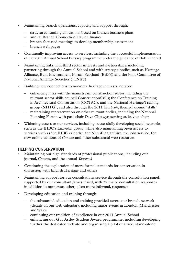- Maintaining branch operations, capacity and support through:
	- structured funding allocations based on branch business plans
	- annual Branch Connection Day on finance
	- branch-focussed meetings to develop membership assessment
	- branch web pages
- Continually improving access to services, including the successful implementation of the 2011 Annual School bursary programme under the guidance of Bob Kindred
- Maintaining links with third sector interests and partnerships, including partnering through the Annual School and with strategic bodies such as Heritage Alliance, Built Environment Forum Scotland (BEFS) and the Joint Committee of National Amenity Societies (JCNAS)
- Building new connections to non-core heritage interests, notably:
	- enhancing links with the mainstream construction sector, including the relevant sector skills council ConstructionSkills; the Conference on Training in Architectural Conservation (COTAC), and the National Heritage Training group (NHTG), and also through the 2011 *Yearbook*, themed around 'skills'
	- maintaining representation on other relevant bodies, including the National Planning Forum with past-chair Dave Chetwyn serving as its vice-chair
- Widening access to our services, including successfully developing social networks such as the IHBC's Linkedin group, while also maintaining open access to services such as the IHBC calendar, the NewsBlog archive, the jobs service, the new online editions of *Context* and other substantial web resources

### **HELPING CONSERVATION**

- Maintaining our high standards of professional publications, including our journal, *Context*, and the annual *Yearbook*
- Continuing the exploration of more formal standards for conservation in discussion with English Heritage and others
- Maintaining support for our consultations service through the consultation panel, supported by our consultant James Caird, with 39 major consultation responses in addition to numerous other, often more informal, responses
- Developing education and training through:
	- the substantial education and training provided across our branch network (details on our web calendar), including major events in London, Manchester and Wales
	- continuing our tradition of excellence in our 2011 Annual School
	- enhancing our Gus Astley Student Award programme, including developing further the dedicated website and organising a pilot of a free, stand-alone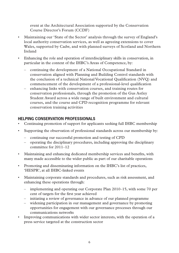event at the Architectural Association supported by the Conservation Course Director's Forum (CCDF)

- Maintaining our 'State of the Sector' analysis through the survey of England's local authority conservation services, as well as agreeing extensions to cover Wales, supported by Cadw, and with planned surveys of Scotland and Northern Ireland
- Enhancing the role and operation of interdisciplinary skills in conservation, in particular in the context of the IHBC's Areas of Competence, by:
	- continuing the development of a National Occupational Standard in conservation aligned with Planning and Building Control standards with the conclusion of a technical National Vocational Qualification (NVQ) and commencement of the development of a professional-level qualification
	- enhancing links with conservation courses, and training routes for conservation professionals, through the promotion of the Gus Astley Student Award across a wide range of built environment and cultural courses, and the course and CPD recognition programme for relevant conservation training activities

# HELPING CONSERVATION PROFESSIONALS

- $\bullet$ Continuing promotion of support for applicants seeking full IHBC membership
- Supporting the observation of professional standards across our membership by:  $\bullet$ 
	- continuing our successful promotion and testing of CPD
	- operating the disciplinary procedures, including approving the disciplinary committee for 2011-12
- Maintaining and enhancing dedicated membership services and benefits, with  $\bullet$ many made accessible to the wider public as part of our charitable operations
- Promoting and disseminating information on the IHBC's list of practices,  $\bullet$ 'HESPR', at all IHBC-linked events
- Maintaining corporate standards and procedures, such as risk assessment, and enhancing these operations through:
	- $-$  implementing and operating our Corporate Plan 2010–15, with some 70 per cent of targets for the first vear achieved
	- initiating a review of governance in advance of our planned programme
	- widening participation in our management and governance by promoting opportunities for engagement with our governance processes through our communications networks
- Improving communications with wider sector interests, with the operation of a  $\bullet$  . press service targeted at the construction sector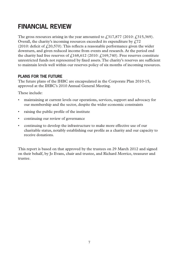# **FINANCIAL REVIEW**

The gross resources arising in the year amounted to  $\ell$ , 317, 877 (2010:  $\ell$ , 315, 369). Overall, the charity's incoming resources exceeded its expenditure by  $f<sub>1</sub>72$ (2010: deficit of  $f(20,570)$ ). This reflects a reasonable performance given the wider downturn, and given reduced income from events and research. At the period end the charity had free reserves of  $\pounds$ 168,612 (2010:  $\pounds$ 169,740). Free reserves constitute unrestricted funds not represented by fixed assets. The charity's reserves are sufficient to maintain levels well within our reserves policy of six months of incoming resources.

# **PLANS FOR THE FUTURE**

The future plans of the IHBC are encapsulated in the Corporate Plan 2010-15, approved at the IHBC's 2010 Annual General Meeting.

These include:

- maintaining at current levels our operations, services, support and advocacy for our membership and the sector, despite the wider economic constraints
- raising the public profile of the institute
- continuing our review of governance
- continuing to develop the infrastructure to make more effective use of our charitable status, notably establishing our profile as a charity and our capacity to receive donations.

This report is based on that approved by the trustees on 29 March 2012 and signed on their behalf, by Jo Evans, chair and trustee, and Richard Morrice, treasurer and trustee.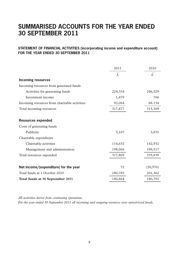# **SUMMARISED ACCOUNTS FOR THE YEAR ENDED 30 SEPTEMBER 2011**

### **STATEMENT OF FINANCIAL ACTIVITIES (incorporating income and expenditure account) FOR THE YEAR ENDED 30 SEPTEMBER 2011**

|                                               | 2011    | 2010      |
|-----------------------------------------------|---------|-----------|
|                                               | £.      | £.        |
| <b>Incoming resources</b>                     |         |           |
| Incoming resources from generated funds       |         |           |
| Activities for generating funds               | 224,334 | 246,529   |
| Investment income                             | 1,479   | 706       |
| Incoming resources from charitable activities | 92,064  | 68.134    |
| Total incoming resources                      | 317,877 | 315,369   |
|                                               |         |           |
| <b>Resources expended</b>                     |         |           |
| Costs of generating funds                     |         |           |
| Publicity                                     | 5,107   | 3,870     |
| Charitable expenditure                        |         |           |
| Charitable activities                         | 114,632 | 142,552   |
| Management and administration                 | 198,066 | 189,517   |
| Total resources expended                      | 317,805 | 335,939   |
|                                               |         |           |
| Net income/(expenditure) for the year         | 72      | (20, 570) |
| Total funds at 1 October 2010                 | 180,792 | 201,362   |
| Total funds at 30 September 2011              | 180,864 | 180,792   |

*All activities derive from continuing operations.* 

*For the year ended 30 September 2011 all incoming and outgoing resources were unrestricted funds.*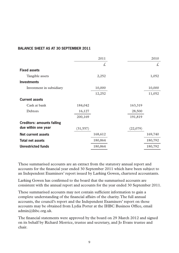### **BALANCE SHEET AS AT 30 SEPTEMBER 2011**

|                                   |           | 2011    |          | 2010    |
|-----------------------------------|-----------|---------|----------|---------|
|                                   |           | £.      |          | £.      |
| <b>Fixed assets</b>               |           |         |          |         |
| Tangible assets                   |           | 2,252   |          | 1,052   |
| <b>Investments</b>                |           |         |          |         |
| Investment in subsidiary          |           | 10,000  |          | 10,000  |
|                                   |           | 12,252  |          | 11,052  |
| <b>Current assets</b>             |           |         |          |         |
| Cash at bank                      | 184,042   |         | 163,319  |         |
| Debtors                           | 16,127    |         | 28,500   |         |
|                                   | 200,169   |         | 191,819  |         |
| <b>Creditors: amounts falling</b> |           |         |          |         |
| due within one year               | (31, 557) |         | (22,079) |         |
| Net current assets                |           | 168,612 |          | 169,740 |
| <b>Total net assets</b>           |           | 180,864 |          | 180,792 |
| <b>Unrestricted funds</b>         |           | 180,864 |          | 180,792 |
|                                   |           |         |          |         |

These summarised accounts are an extract from the statutory annual report and accounts for the financial year ended 30 September 2011 which have been subject to an Independent Examiners' report issued by Larking Gowen, chartered accountants.

Larking Gowen has confirmed to the board that the summarised accounts are consistent with the annual report and accounts for the year ended 30 September 2011.

These summarised accounts may not contain sufficient information to gain a complete understanding of the financial affairs of the charity. The full annual accounts, the council's report and the Independent Examiners' report on those accounts may be obtained from Lydia Porter at the IHBC Business Office, email admin@ihbc.org.uk.

The financial statements were approved by the board on 29 March 2012 and signed on its behalf by Richard Morrice, trustee and secretary, and Jo Evans trustee and chair.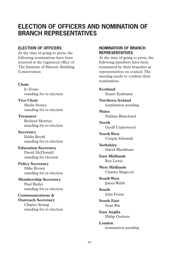# **ELECTION OF OFFICERS AND NOMINATION OF BRANCH REPRESENTATIVES**

### **ELECTION OF OFFICERS**

At the time of going to press, the following nominations have been received at the registered office of The Institute of Historic Building Conservation:

### **Chair**

Jo Evans standing for re-election

**Vice Chair** Sheila Stones standing for re-election

**Treasurer** Richard Morrice standing for re-election

**Secretary** Eddie Booth standing for re-election

**Education Secretary** David McDonald standing for election

**Policy Secretary** Mike Brown standing for re-election

**Membership Secretary** Paul Butler standing for re-election

**Communications & Outreach Secretary** Charles Strang standing for re-election

### **NOMINATION OF BRANCH REPRESENTATIVES**

At the time of going to press, the following members have been nominated by their branches as representatives on council. The meeting needs to confirm their nomination:

**Scotland** Stuart Eydmann

**Northern Ireland** nomination pending

**Wales** Nathan Blanchard

**North** Geoff Underwood

**North West** Crispin Edwards

**Yorkshire** David Blackburn

**East Midlands** Roy Lewis

**West Midlands** Charles Shapcott

**South West** James Webb

**South** Julia Foster

**South East** Sean Rix

**East Anglia** Philip Godwin

**London** nomination pending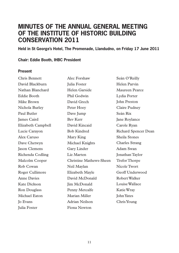# **MINUTES OF THE ANNUAL GENERAL MEETING OF THE INSTITUTE OF HISTORIC BUILDING CONSERVATION 2011**

**Held in St George's Hotel, The Promenade, Llandudno, on Friday 17 June 2011** 

### **Chair: Eddie Booth, IHBC President**

### **Present**

| Chris Bennett       | Alec Forshaw            | Seán O'Reilly        |
|---------------------|-------------------------|----------------------|
| David Blackburn     | Julia Foster            | Helen Parvin         |
| Nathan Blanchard    | Helen Garside           | Maureen Pearce       |
| Eddie Booth         | Phil Godwin             | Lydia Porter         |
| Mike Brown          | David Grech             | John Preston         |
| Nichola Burley      | Peter Hoey              | Claire Pudney        |
| Paul Butler         | Dave Jump               | Seán Rix             |
| James Caird         | Bev Kerr                | Jane Roylance        |
| Elizabeth Campbell  | David Kincaid           | Carole Ryan          |
| Lucie Carayon       | <b>Bob Kindred</b>      | Richard Spencer Dean |
| Alex Caruso         | Mary King               | Sheila Stones        |
| Dave Chetwyn        | Michael Knights         | Charles Strang       |
| Jason Clemens       | Gary Linder             | Adam Swan            |
| Richenda Codling    | Liz Marten              | Jonathan Taylor      |
| Malcolm Cooper      | Christine Mathews-Sheen | <b>Trefor Thorpe</b> |
| Rob Cowan           | Neil Maylan             | Nicole Twort         |
| Roger Cullimore     | Elizabeth Mayle         | Geoff Underwood      |
| <b>Anne Davies</b>  | David McDonald          | Robert Walker        |
| Kate Dickson        | Jim McDonald            | Louise Wallace       |
| Ron Douglass        | Penny Metcalfe          | Katie Wray           |
| Michael Eaton       | Marian Miller           | John Yates           |
| <b>Io Evans</b>     | Adrian Neilson          | Chris Young          |
| <b>Julia Foster</b> | Fiona Newton            |                      |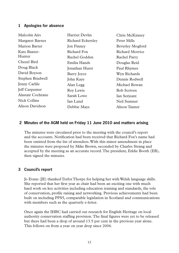### **1 Apologies for absence**

| Harriet Devlin           | Chris McKinney     |
|--------------------------|--------------------|
| <b>Richard Eckersley</b> | Peter Mills        |
| Jon Finney               | Beverley Mogford   |
| Richard Fox              | Richard Morrice    |
| Rachel Godden            | Rachel Parry       |
| Emilia Hands             | Douglas Reid       |
| Jonathan Hurst           | Paul Rhymes        |
| Barry Joyce              | Wyn Richards       |
| John Kaye                | Dennis Rodwell     |
| Alan Legg                | Michael Rowan      |
| Roy Lewis                | <b>Bob Scriven</b> |
| Sarah Lowe               | Ian Serjeant       |
| Ian Lund                 | Neil Sumner        |
| Debbie Mays              | Alison Tanner      |
|                          |                    |

### **2 Minutes of the AGM held on Friday 11 June 2010 and matters arising**

The minutes were circulated prior to the meeting with the council's report and the accounts. Notification had been received that Richard Fox's name had been omitted from the list of attendees. With this minor amendment in place the minutes were proposed by Mike Brown, seconded by Charles Strang and accepted by the meeting as an accurate record. The president, Eddie Booth (EB), then signed the minutes.

### **3 Council's report**

Jo Evans (JE) thanked Trefor Thorpe for helping her with Welsh language skills. She reported that her first year as chair had been an exciting one with much hard work on key activities including education training and standards, the role of conservation, profile raising and networking. Previous achievements had been built on including PPS5, comparable legislation in Scotland and communications with members such as the quarterly e-letter.

Once again the IHBC had carried out research for English Heritage on local authority conservation staffing provision. The final figures were yet to be released but there had been a drop of around 13.5 per cent in the previous year alone. This follows on from a year on year drop since 2006.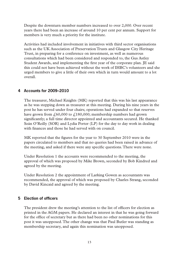Despite the downturn member numbers increased to over 2,000. Over recent years there had been an increase of around 10 per cent per annum. Support for members is very much a priority for the institute.

Activities had included involvement in initiatives with third sector organisations such as the UK Association of Preservation Trusts and Glasgow City Heritage Trust, in preparing for a conference on investment, as well as numerous consultations which had been considered and responded to, the Gus Astley Student Awards, and implementing the first year of the corporate plan. IE said this could not have been achieved without the work of IHBC's volunteers and she urged members to give a little of their own which in turn would amount to a lot overall.

## **4 Accounts for 2009–2010**

The treasurer, Michael Knights (MK) reported that this was his last appearance as he was stepping down as treasurer at this meeting. During his nine years in the post he has served under four chairs; operations had expanded so that reserves have grown from  $\mu$  60,000 to  $\mu$ 180,000; membership numbers had grown significantly; a full time director appointed and accountants secured. He thanked Seán O'Reilly (SOR) and Lydia Porter (LP) for the day to day work in dealing with finances and those he had served with on council.

MK reported that the figures for the year to 30 September 2010 were in the papers circulated to members and that no queries had been raised in advance of the meeting, and asked if there were any specific questions. There were none.

Under Resolution 1 the accounts were recommended to the meeting, the approval of which was proposed by Mike Brown, seconded by Bob Kindred and agreed by the meeting.

Under Resolution 2 the appointment of Larking Gowen as accountants was recommended, the approval of which was proposed by Charles Strang, seconded by David Kincaid and agreed by the meeting.

## **5 Election of officers**

The president drew the meeting's attention to the list of officers for election as printed in the AGM papers. He declared an interest in that he was going forward for the office of secretary but as there had been no other nominations for this post it was unopposed. The other change was that Paul Butler was standing as membership secretary, and again this nomination was unopposed.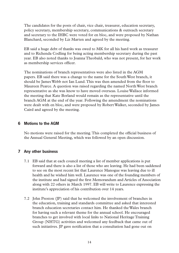The candidates for the posts of chair, vice chair, treasurer, education secretary, policy secretary, membership secretary, communications & outreach secretary and secretary to the IHBC were voted for en bloc, and were proposed by Nathan Blanchard, seconded by Liz Marten and agreed by the meeting.

EB said a huge debt of thanks was owed to MK for all his hard work as treasurer and to Richenda Codling for being acting membership secretary during the past year. EB also noted thanks to Joanna Theobald, who was not present, for her work as membership services officer.

The nominations of branch representatives were also listed in the AGM papers. EB said there was a change to the name for the South West branch, it should be James Webb not Ian Lund. This was then amended from the floor to Maureen Pearce. A question was raised regarding the named North West branch representative as she was know to have moved overseas. Louise Wallace informed the meeting that Kate Borland would remain as the representative until the branch AGM at the end of the year. Following the amendment the nominations were dealt with en bloc, and were proposed by Robert Walker, seconded by James Caird and agreed by the meeting.

### **6 Motions to the AGM**

No motions were raised for the meeting. This completed the official business of the Annual General Meeting, which was followed by an open discussion.

### **7 Any other business**

- 7.1 EB said that at each council meeting a list of member applications is put forward and there is also a list of those who are leaving. He had been saddened to see on the most recent list that Laurence Manogue was leaving due to ill health and he wished him well. Laurence was one of the founding members of the institute and had signed the first Memorandum and Articles of Association along with 22 others in March 1997. EB will write to Laurence expressing the institute's appreciation of his contribution over 14 years.
- 7.2 John Preston (JP) said that he welcomed the involvement of branches in the education, training and standards committee and asked that interested branch education secretaries contact him. He thanked the Wales branch for having such a relevant theme for the annual school. He encouraged branches to get involved with local links to National Heritage Training Group (NHTG) activities and welcomed any feedback that came out of such initiatives. IP gave notification that a consultation had gone out on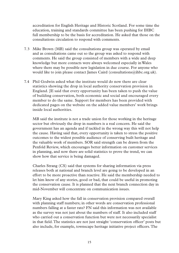accreditation for English Heritage and Historic Scotland. For some time the education, training and standards committee has been pushing for IHBC full membership to be the basis for accreditation. He asked that those on the consultations circulation to respond with comments.

- 7.3 Mike Brown (MB) said the consultations group was operated by email and as consultations came out so the group was asked to respond with comments. He said the group consisted of members with a wide and deep knowledge but more contacts were always welcomed especially in Wales where there may be possible new legislation in due course. For anyone who would like to join please contact James Caird (consultations@ihbc.org.uk).
- 7.4 Phil Godwin asked what the institute would do now there are clear statistics showing the drop in local authority conservation provision in England. JE said that every opportunity has been taken to push the value of building conservation, both economic and social and encouraged every member to do the same. Support for members has been provided with dedicated pages on the website on the added value members' work brings inside local authorities.

MB said the institute is not a trade union for those working in the heritage sector but obviously the drop in numbers is a real concern. He said the government has an agenda and if tackled in the wrong way this will not help the cause. Having said that, every opportunity is taken to stress the positive outcomes to the widest possible audience of conserving built heritage and the valuable work of members. SOR said strength can be drawn from the Penfold Review, which encourages better information on customer services in planning, and now there are solid statistics to prove the trend, we can show how that service is being damaged.

Charles Strang (CS) said that systems for sharing information via press releases both at national and branch level are going to be developed in an effort to be more proactive than reactive. He said the membership needed to let him know of any stories, good or bad, that could be useful in promoting the conservation cause. It is planned that the next branch connection day in mid-November will concentrate on communication issues.

Mary King asked how the fall in conservation provision compared overall with planning staff numbers; in other words are conservation professional numbers falling at a faster rate? FN said this information was not available as the survey was not just about the numbers of staff. It also included staff who carried out a conservation function but were not necessarily specialist in that field. The statistics are not just straight 'conservation officer' posts but also include, for example, townscape heritage initiative project officers. The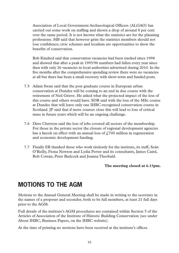Association of Local Government Archaeological Officers (ALGAO) has carried out some work on staffing and shown a drop of around 8 per cent over the same period. It is not known what the statistics are for the planning professions. MB said that however grim the statistics members should not lose confidence; civic schemes and localism are opportunities to show the benefits of conservation.

Bob Kindred said that conservation vacancies had been tracked since 1998 and showed that after a peak in 1995/96 numbers had fallen every year since then with only 26 vacancies in local authorities advertised during 2010. In the five months after the comprehensive spending review there were no vacancies at all but there has been a small recovery with short-term and funded posts.

- 7.5 Adam Swan said that the post graduate course in European urban conservation at Dundee will be coming to an end in due course with the retirement of Neil Grieve. He asked what the projected impact of the loss of this course and others would have. SOR said with the loss of the MSc course at Dundee that will leave only one IHBC-recognised conservation course in Scotland. JP said that if more courses close this will lead to loss of critical mass in future years which will be an ongoing challenge.
- 7.6 Dave Chetwyn said the loss of jobs covered all sectors of the membership. For those in the private sector the closure of regional development agencies has a knock on effect with an annual loss of  $\ell$  700 million in regeneration and economic development funding.
- 7.7 Finally EB thanked those who work tirelessly for the institute, its staff, Seán O'Reilly, Fiona Newton and Lydia Porter and its consultants, James Caird, Rob Cowan, Peter Badcock and Joanna Theobald.

### **The meeting closed at 6.15pm.**

# **MOTIONS TO THE AGM**

Motions to the Annual General Meeting shall be made in writing to the secretary in the names of a proposer and seconder, both to be full members, at least 21 full days prior to the AGM.

Full details of the institute's AGM procedures are contained within Section 5 of the Articles of Association of the Institute of Historic Building Conservation (see under About IHBC, Business Papers, on the IHBC website).

At the time of printing no motions have been received at the institute's offices.